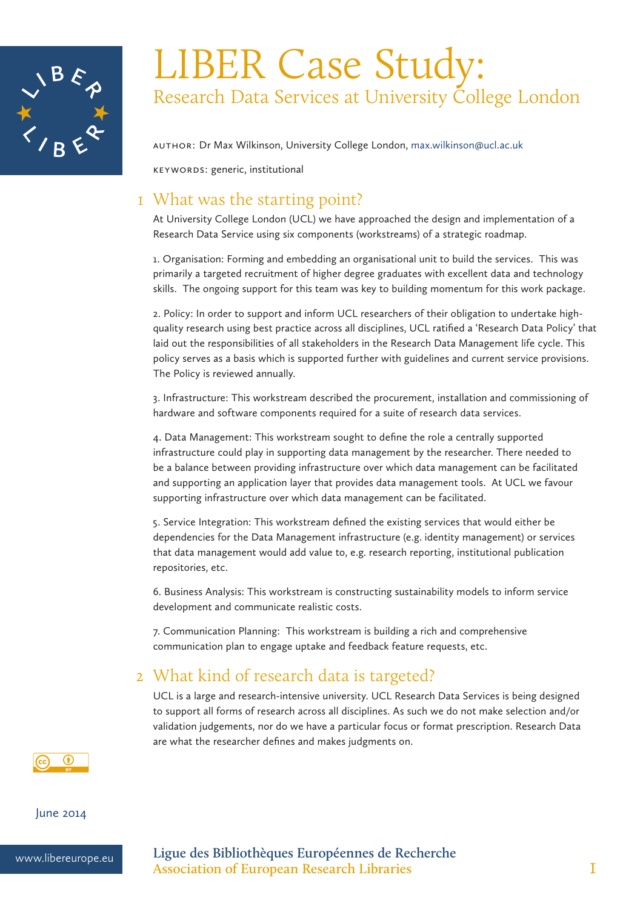

# LIBER Case Study: Research Data Services at University College London

Author: Dr Max Wilkinson, University College London, max.wilkinson@ucl.ac.uk

Keywords: generic, institutional

# 1 What was the starting point?

At University College London (UCL) we have approached the design and implementation of a Research Data Service using six components (workstreams) of a strategic roadmap.

1. Organisation: Forming and embedding an organisational unit to build the services. This was primarily a targeted recruitment of higher degree graduates with excellent data and technology skills. The ongoing support for this team was key to building momentum for this work package.

2. Policy: In order to support and inform UCL researchers of their obligation to undertake highquality research using best practice across all disciplines, UCL ratified a 'Research Data Policy' that laid out the responsibilities of all stakeholders in the Research Data Management life cycle. This policy serves as a basis which is supported further with guidelines and current service provisions. The Policy is reviewed annually.

3. Infrastructure: This workstream described the procurement, installation and commissioning of hardware and software components required for a suite of research data services.

4. Data Management: This workstream sought to define the role a centrally supported infrastructure could play in supporting data management by the researcher. There needed to be a balance between providing infrastructure over which data management can be facilitated and supporting an application layer that provides data management tools. At UCL we favour supporting infrastructure over which data management can be facilitated.

5. Service Integration: This workstream defined the existing services that would either be dependencies for the Data Management infrastructure (e.g. identity management) or services that data management would add value to, e.g. research reporting, institutional publication repositories, etc.

6. Business Analysis: This workstream is constructing sustainability models to inform service development and communicate realistic costs.

7. Communication Planning: This workstream is building a rich and comprehensive communication plan to engage uptake and feedback feature requests, etc.

# 2 What kind of research data is targeted?

UCL is a large and research-intensive university. UCL Research Data Services is being designed to support all forms of research across all disciplines. As such we do not make selection and/or validation judgements, nor do we have a particular focus or format prescription. Research Data are what the researcher defines and makes judgments on.



June 2014



www.libereurope.eu **Ligue des Bibliothèques Européennes de Recherche Association of European Research Libraries** 1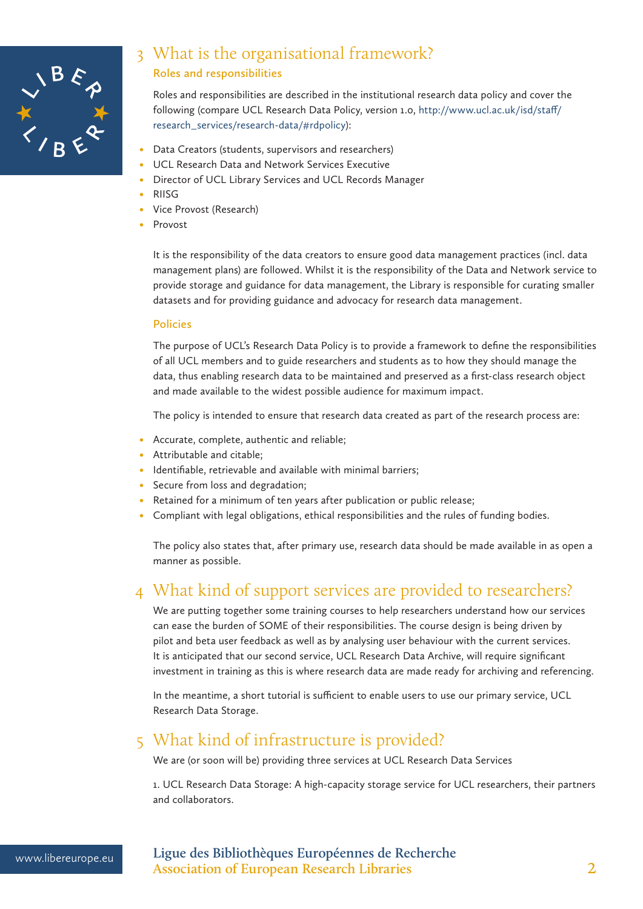

### 3 What is the organisational framework? **Roles and responsibilities**

Roles and responsibilities are described in the institutional research data policy and cover the following (compare UCL Research Data Policy, version 1.0, http://www.ucl.ac.uk/isd/staff/ research\_services/research-data/#rdpolicy):

- Data Creators (students, supervisors and researchers)
- UCL Research Data and Network Services Executive
- Director of UCL Library Services and UCL Records Manager
- **RIISG**
- Vice Provost (Research)
- **Provost**

It is the responsibility of the data creators to ensure good data management practices (incl. data management plans) are followed. Whilst it is the responsibility of the Data and Network service to provide storage and guidance for data management, the Library is responsible for curating smaller datasets and for providing guidance and advocacy for research data management.

#### **Policies**

The purpose of UCL's Research Data Policy is to provide a framework to define the responsibilities of all UCL members and to guide researchers and students as to how they should manage the data, thus enabling research data to be maintained and preserved as a first-class research object and made available to the widest possible audience for maximum impact.

The policy is intended to ensure that research data created as part of the research process are:

- Accurate, complete, authentic and reliable;
- Attributable and citable;
- Identifiable, retrievable and available with minimal barriers;
- Secure from loss and degradation;
- Retained for a minimum of ten years after publication or public release;
- Compliant with legal obligations, ethical responsibilities and the rules of funding bodies.

The policy also states that, after primary use, research data should be made available in as open a manner as possible.

# 4 What kind of support services are provided to researchers?

We are putting together some training courses to help researchers understand how our services can ease the burden of SOME of their responsibilities. The course design is being driven by pilot and beta user feedback as well as by analysing user behaviour with the current services. It is anticipated that our second service, UCL Research Data Archive, will require significant investment in training as this is where research data are made ready for archiving and referencing.

In the meantime, a short tutorial is sufficient to enable users to use our primary service, UCL Research Data Storage.

# 5 What kind of infrastructure is provided?

We are (or soon will be) providing three services at UCL Research Data Services

1. UCL Research Data Storage: A high-capacity storage service for UCL researchers, their partners and collaborators.

www.libereurope.eu **Ligue des Bibliothèques Européennes de Recherche Association of European Research Libraries** 2